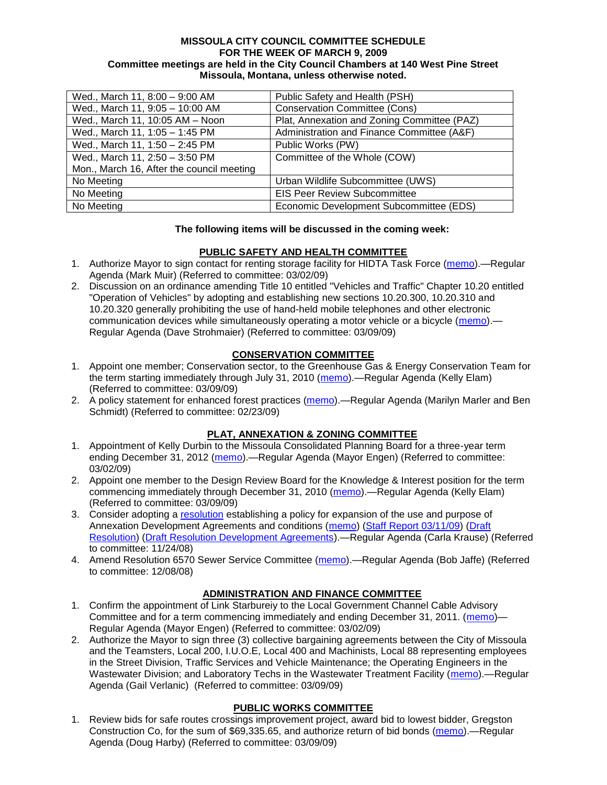#### **MISSOULA CITY COUNCIL COMMITTEE SCHEDULE FOR THE WEEK OF MARCH 9, 2009 Committee meetings are held in the City Council Chambers at 140 West Pine Street Missoula, Montana, unless otherwise noted.**

| Wed., March 11, 8:00 - 9:00 AM            | Public Safety and Health (PSH)              |
|-------------------------------------------|---------------------------------------------|
| Wed., March 11, 9:05 - 10:00 AM           | <b>Conservation Committee (Cons)</b>        |
| Wed., March 11, 10:05 AM - Noon           | Plat, Annexation and Zoning Committee (PAZ) |
| Wed., March 11, 1:05 - 1:45 PM            | Administration and Finance Committee (A&F)  |
| Wed., March 11, 1:50 - 2:45 PM            | Public Works (PW)                           |
| Wed., March 11, 2:50 - 3:50 PM            | Committee of the Whole (COW)                |
| Mon., March 16, After the council meeting |                                             |
| No Meeting                                | Urban Wildlife Subcommittee (UWS)           |
| No Meeting                                | <b>EIS Peer Review Subcommittee</b>         |
| No Meeting                                | Economic Development Subcommittee (EDS)     |

### **The following items will be discussed in the coming week:**

### **PUBLIC SAFETY AND HEALTH COMMITTEE**

- 1. Authorize Mayor to sign contact for renting storage facility for HIDTA Task Force [\(memo\)](ftp://ftp.ci.missoula.mt.us/Packets/Council/2009/2009-03-02/Referrals/HIDTA_Storage_Facility.pdf).—Regular Agenda (Mark Muir) (Referred to committee: 03/02/09)
- 2. Discussion on an ordinance amending Title 10 entitled "Vehicles and Traffic" Chapter 10.20 entitled "Operation of Vehicles" by adopting and establishing new sections 10.20.300, 10.20.310 and 10.20.320 generally prohibiting the use of hand-held mobile telephones and other electronic communication devices while simultaneously operating a motor vehicle or a bicycle [\(memo\)](ftp://ftp.ci.missoula.mt.us/Packets/Council/2009/2009-03-09/Referrals/CellPhonesReferral.pdf) — Regular Agenda (Dave Strohmaier) (Referred to committee: 03/09/09)

### **CONSERVATION COMMITTEE**

- 1. Appoint one member; Conservation sector, to the Greenhouse Gas & Energy Conservation Team for the term starting immediately through July 31, 2010 [\(memo\)](ftp://ftp.ci.missoula.mt.us/Packets/Council/2009/2009-03-09/Referrals/090311GGECReferral.pdf).—Regular Agenda (Kelly Elam) (Referred to committee: 03/09/09)
- 2. A policy statement for enhanced forest practices [\(memo\)](ftp://ftp.ci.missoula.mt.us/Packets/Council/2009/2009-02-23/Referrals/Forest_Practices_Referral.pdf).—Regular Agenda (Marilyn Marler and Ben Schmidt) (Referred to committee: 02/23/09)

### **PLAT, ANNEXATION & ZONING COMMITTEE**

- 1. Appointment of Kelly Durbin to the Missoula Consolidated Planning Board for a three-year term ending December 31, 2012 [\(memo\)](ftp://ftp.ci.missoula.mt.us/Packets/Council/2009/2009-03-02/Referrals/ReferralMCPB.pdf).—Regular Agenda (Mayor Engen) (Referred to committee: 03/02/09)
- 2. Appoint one member to the Design Review Board for the Knowledge & Interest position for the term commencing immediately through December 31, 2010 [\(memo\)](ftp://ftp.ci.missoula.mt.us/Packets/Council/2009/2009-03-09/Referrals/090311DRBreferal.pdf).—Regular Agenda (Kelly Elam) (Referred to committee: 03/09/09)
- 3. Consider adopting a [resolution](ftp://ftp.ci.missoula.mt.us/Packets/Council/2008/2008-12-08/RESOLUTION-DevelopmentAgreements.pdf) establishing a policy for expansion of the use and purpose of Annexation Development Agreements and conditions [\(memo\)](ftp://ftp.ci.missoula.mt.us/Packets/Council/2008/2008-11-24/Referrals/REFERRAL-DevelopmentAgreements.pdf) [\(Staff Report 03/11/09\)](ftp://ftp.ci.missoula.mt.us/Packets/Council/2009/2009-03-16/STAFFREPTPAZ03-11-2009.pdf) [\(Draft](ftp://ftp.ci.missoula.mt.us/Packets/Council/2009/2009-03-16/AMENDED3-11-2009Res6755.pdf)  [Resolution\)](ftp://ftp.ci.missoula.mt.us/Packets/Council/2009/2009-03-16/AMENDED3-11-2009Res6755.pdf) [\(Draft Resolution Development Agreements\)](ftp://ftp.ci.missoula.mt.us/Packets/Council/2009/2009-03-16/RESOLUTION03-11-2009DevAgreePolicy.pdf).—Regular Agenda (Carla Krause) (Referred to committee: 11/24/08)
- 4. Amend Resolution 6570 Sewer Service Committee [\(memo\)](ftp://ftp.ci.missoula.mt.us/Packets/Council/2008/2008-12-08/Referrals/SewerServiceCommittee.pdf).—Regular Agenda (Bob Jaffe) (Referred to committee: 12/08/08)

# **ADMINISTRATION AND FINANCE COMMITTEE**

- 1. Confirm the appointment of Link Starbureiy to the Local Government Channel Cable Advisory Committee and for a term commencing immediately and ending December 31, 2011. [\(memo\)](ftp://ftp.ci.missoula.mt.us/Packets/Council/2009/2009-03-02/Referrals/GCCACRef.pdf)— Regular Agenda (Mayor Engen) (Referred to committee: 03/02/09)
- 2. Authorize the Mayor to sign three (3) collective bargaining agreements between the City of Missoula and the Teamsters, Local 200, I.U.O.E, Local 400 and Machinists, Local 88 representing employees in the Street Division, Traffic Services and Vehicle Maintenance; the Operating Engineers in the Wastewater Division; and Laboratory Techs in the Wastewater Treatment Facility [\(memo\)](ftp://ftp.ci.missoula.mt.us/Packets/Council/2009/2009-03-09/Referrals/CollectiveBargainingReferral.pdf).—Regular Agenda (Gail Verlanic) (Referred to committee: 03/09/09)

### **PUBLIC WORKS COMMITTEE**

1. Review bids for safe routes crossings improvement project, award bid to lowest bidder, Gregston Construction Co, for the sum of \$69,335.65, and authorize return of bid bonds [\(memo\)](ftp://ftp.ci.missoula.mt.us/packets/council/2009/2009-03-09/Referrals/STRSProj08005REF.pdf).—Regular Agenda (Doug Harby) (Referred to committee: 03/09/09)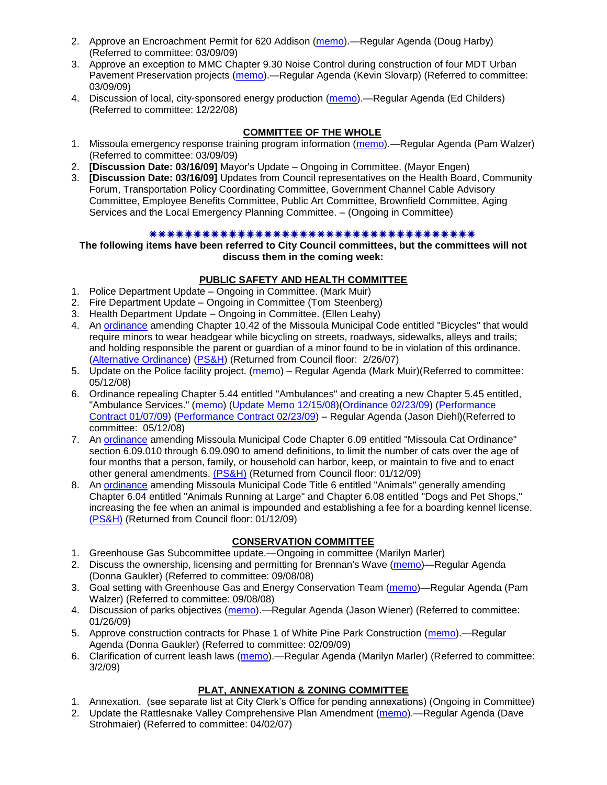- 2. Approve an Encroachment Permit for 620 Addison [\(memo\)](ftp://ftp.ci.missoula.mt.us/packets/council/2009/2009-03-09/Referrals/AddisonEncrochmentREF.pdf).—Regular Agenda (Doug Harby) (Referred to committee: 03/09/09)
- 3. Approve an exception to MMC Chapter 9.30 Noise Control during construction of four MDT Urban Pavement Preservation projects [\(memo\)](ftp://ftp.ci.missoula.mt.us/packets/council/2009/2009-03-09/Referrals/NoiseCntrlExcptnREF.pdf).—Regular Agenda (Kevin Slovarp) (Referred to committee: 03/09/09)
- 4. Discussion of local, city-sponsored energy production [\(memo\)](ftp://ftp.ci.missoula.mt.us/Packets/Council/2008/2008-12-22/Referrals/LocaLPowerReferral.pdf).—Regular Agenda (Ed Childers) (Referred to committee: 12/22/08)

# **COMMITTEE OF THE WHOLE**

- 1. Missoula emergency response training program information [\(memo\)](ftp://ftp.ci.missoula.mt.us/Packets/Council/2009/2009-03-09/Referrals/EMITrainingReferral.pdf).—Regular Agenda (Pam Walzer) (Referred to committee: 03/09/09)
- 2. **[Discussion Date: 03/16/09]** Mayor's Update Ongoing in Committee. (Mayor Engen)
- 3. **[Discussion Date: 03/16/09]** Updates from Council representatives on the Health Board, Community Forum, Transportation Policy Coordinating Committee, Government Channel Cable Advisory Committee, Employee Benefits Committee, Public Art Committee, Brownfield Committee, Aging Services and the Local Emergency Planning Committee. – (Ongoing in Committee)

### 

**The following items have been referred to City Council committees, but the committees will not discuss them in the coming week:**

### **PUBLIC SAFETY AND HEALTH COMMITTEE**

- 1. Police Department Update Ongoing in Committee. (Mark Muir)
- 2. Fire Department Update Ongoing in Committee (Tom Steenberg)
- 3. Health Department Update Ongoing in Committee. (Ellen Leahy)
- 4. An [ordinance](ftp://ftp.ci.missoula.mt.us/Packets/Council/2007/2007-02-05/07-01-31 Helmet and bikes psh.htm) amending Chapter 10.42 of the Missoula Municipal Code entitled "Bicycles" that would require minors to wear headgear while bicycling on streets, roadways, sidewalks, alleys and trails; and holding responsible the parent or guardian of a minor found to be in violation of this ordinance. [\(Alternative Ordinance\)](ftp://ftp.ci.missoula.mt.us/Packets/Council/2007/2007-02-26/07-02-19_Alternative_Helmet_and_bikes.htm) [\(PS&H\)](ftp://ftp.ci.missoula.mt.us/Packets/Council/2007/2007-02-05/070131psh.pdf) (Returned from Council floor: 2/26/07)
- 5. Update on the Police facility project. [\(memo\)](ftp://ftp.ci.missoula.mt.us/Packets/Council/2008/2008-05-12/Referrals/Buildingpresentationreferral.htm) Regular Agenda (Mark Muir)(Referred to committee: 05/12/08)
- 6. Ordinance repealing Chapter 5.44 entitled "Ambulances" and creating a new Chapter 5.45 entitled, "Ambulance Services." [\(memo\)](ftp://ftp.ci.missoula.mt.us/Packets/Council/2008/2008-05-12/Referrals/080508AmbulanceOrdinanceReferral.htm) [\(Update Memo 12/15/08\)](ftp://ftp.ci.missoula.mt.us/Packets/Council/2008/2008-12-15/081212AmbulanceOrdinanceReferralUpdated.pdf)[\(Ordinance 02/23/09\)](ftp://ftp.ci.missoula.mt.us/Packets/Council/2009/2009-04-06/AmbulanceOrdinanceFinal090223.pdf) [\(Performance](ftp://ftp.ci.missoula.mt.us/Packets/Council/2009/2009-01-12/MESIPerformanceContract090107.pdf)  [Contract 01/07/09\)](ftp://ftp.ci.missoula.mt.us/Packets/Council/2009/2009-01-12/MESIPerformanceContract090107.pdf) [\(Performance Contract 02/23/09\)](ftp://ftp.ci.missoula.mt.us/Packets/Council/2009/2009-04-06/PerformanceContractFinal090223.pdf) – Regular Agenda (Jason Diehl)(Referred to committee: 05/12/08)
- 7. An [ordinance](ftp://ftp.ci.missoula.mt.us/Packets/Council/2008/2008-12-15/2008CatOrdinanceAmendment%5B1%5D.pdf) amending Missoula Municipal Code Chapter 6.09 entitled "Missoula Cat Ordinance" section 6.09.010 through 6.09.090 to amend definitions, to limit the number of cats over the age of four months that a person, family, or household can harbor, keep, or maintain to five and to enact other general amendments. [\(PS&H\)](ftp://ftp.ci.missoula.mt.us/Packets/Council/2008/2008-12-15/081210psh.pdf) (Returned from Council floor: 01/12/09)
- 8. An [ordinance](ftp://ftp.ci.missoula.mt.us/Packets/Council/2008/2008-12-15/DogOrdinance--PSHrevisions.pdf) amending Missoula Municipal Code Title 6 entitled "Animals" generally amending Chapter 6.04 entitled "Animals Running at Large" and Chapter 6.08 entitled "Dogs and Pet Shops," increasing the fee when an animal is impounded and establishing a fee for a boarding kennel license. [\(PS&H\)](ftp://ftp.ci.missoula.mt.us/Packets/Council/2008/2008-12-15/081210psh.pdf) (Returned from Council floor: 01/12/09)

# **CONSERVATION COMMITTEE**

- 1. Greenhouse Gas Subcommittee update.—Ongoing in committee (Marilyn Marler)
- 2. Discuss the ownership, licensing and permitting for Brennan's Wave [\(memo\)](ftp://ftp.ci.missoula.mt.us/Packets/Council/2008/2008-09-08/Referrals/ReferralBrennansWaveLicensing.pdf)—Regular Agenda (Donna Gaukler) (Referred to committee: 09/08/08)
- 3. Goal setting with Greenhouse Gas and Energy Conservation Team [\(memo\)](ftp://ftp.ci.missoula.mt.us/Packets/Council/2008/2008-09-08/Referrals/GGECTdialog.pdf)—Regular Agenda (Pam Walzer) (Referred to committee: 09/08/08)
- 4. Discussion of parks objectives [\(memo\)](ftp://ftp.ci.missoula.mt.us/Packets/Council/2009/2009-01-26/Referrals/parks_projects_referral.pdf).—Regular Agenda (Jason Wiener) (Referred to committee: 01/26/09)
- 5. Approve construction contracts for Phase 1 of White Pine Park Construction [\(memo\)](ftp://ftp.ci.missoula.mt.us/Packets/Council/2009/2009-02-09/Referrals/ReferralWhitePinePark/(2/).pdf).—Regular Agenda (Donna Gaukler) (Referred to committee: 02/09/09)
- 6. Clarification of current leash laws [\(memo\)](ftp://ftp.ci.missoula.mt.us/Packets/Council/2009/2009-03-02/Referrals/leash_law_discussion_referral.pdf).—Regular Agenda (Marilyn Marler) (Referred to committee: 3/2/09)

# **PLAT, ANNEXATION & ZONING COMMITTEE**

- 1. Annexation. (see separate list at City Clerk's Office for pending annexations) (Ongoing in Committee)
- 2. Update the Rattlesnake Valley Comprehensive Plan Amendment [\(memo\)](ftp://ftp.ci.missoula.mt.us/Packets/Council/2007/2007-04-02/Referrals/Rattlesnake_Plan_Update_referral.pdf).—Regular Agenda (Dave Strohmaier) (Referred to committee: 04/02/07)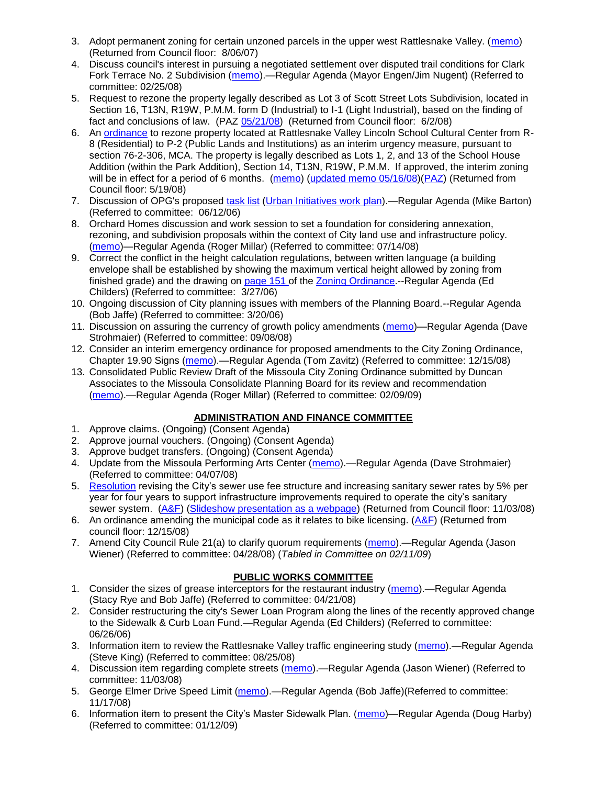- 3. Adopt permanent zoning for certain unzoned parcels in the upper west Rattlesnake Valley. [\(memo\)](ftp://ftp.ci.missoula.mt.us/Packets/Council/2007/2007-03-26/Referrals/P-1_zoning_ref.htm) (Returned from Council floor: 8/06/07)
- 4. Discuss council's interest in pursuing a negotiated settlement over disputed trail conditions for Clark Fork Terrace No. 2 Subdivision [\(memo\)](ftp://ftp.ci.missoula.mt.us/Packets/Council/2008/2008-02-25/Referrals/Clark_Fork_Terrace_2.pdf).—Regular Agenda (Mayor Engen/Jim Nugent) (Referred to committee: 02/25/08)
- 5. Request to rezone the property legally described as Lot 3 of Scott Street Lots Subdivision, located in Section 16, T13N, R19W, P.M.M. form D (Industrial) to I-1 (Light Industrial), based on the finding of fact and conclusions of law. (PAZ [05/21/08\)](ftp://ftp.ci.missoula.mt.us/Packets/Council/2008/2008-06-02/080521paz.pdf) (Returned from Council floor: 6/2/08)
- 6. An [ordinance](ftp://ftp.ci.missoula.mt.us/Packets/Council/2008/2008-05-19/Public_Hearings/LincolnSchoolInterimP-2ord.pdf) to rezone property located at Rattlesnake Valley Lincoln School Cultural Center from R-8 (Residential) to P-2 (Public Lands and Institutions) as an interim urgency measure, pursuant to section 76-2-306, MCA. The property is legally described as Lots 1, 2, and 13 of the School House Addition (within the Park Addition), Section 14, T13N, R19W, P.M.M. If approved, the interim zoning will be in effect for a period of 6 months. [\(memo\)](ftp://ftp.ci.missoula.mt.us/Packets/Council/2008/2008-05-19/Public_Hearings/LincolnSchoolInterimPermZonMemo.pdf) [\(updated memo 05/16/08\)](ftp://ftp.ci.missoula.mt.us/Packets/Council/2008/2008-05-19/Public_Hearings/LincolnSchoolInterimPermZonMemo.pdf)[\(PAZ\)](ftp://ftp.ci.missoula.mt.us/Packets/Council/2008/2008-05-12/080507paz.htm) (Returned from Council floor: 5/19/08)
- 7. Discussion of OPG's proposed [task list](ftp://ftp.ci.missoula.mt.us/Packets/Council/2008/2008-07-07/UITaskList.pdf) [\(Urban Initiatives work plan\)](ftp://ftp.ci.missoula.mt.us/Packets/Council/2006/2006-06-12/Referrals/Urban_Init.htm).—Regular Agenda (Mike Barton) (Referred to committee: 06/12/06)
- 8. Orchard Homes discussion and work session to set a foundation for considering annexation, rezoning, and subdivision proposals within the context of City land use and infrastructure policy. [\(memo\)](ftp://ftp.ci.missoula.mt.us/Packets/Council/2008/2008-07-14/Referrals/OrchardHomesDiscMemo.pdf)—Regular Agenda (Roger Millar) (Referred to committee: 07/14/08)
- 9. Correct the conflict in the height calculation regulations, between written language (a building envelope shall be established by showing the maximum vertical height allowed by zoning from finished grade) and the drawing on [page 151 o](ftp://www.co.missoula.mt.us/opg2/Documents/CurrentRegulations/CityZoningTitle19/CH19.67Hillside.pdf)f the [Zoning Ordinance.](ftp://www.co.missoula.mt.us/opg2/Documents/CurrentRegulations/CityZoningTitle19/CityOrdinanceLP.htm)--Regular Agenda (Ed Childers) (Referred to committee: 3/27/06)
- 10. Ongoing discussion of City planning issues with members of the Planning Board.--Regular Agenda (Bob Jaffe) (Referred to committee: 3/20/06)
- 11. Discussion on assuring the currency of growth policy amendments [\(memo\)](ftp://ftp.ci.missoula.mt.us/Packets/Council/2008/2008-09-08/Referrals/Plan_updates.pdf)—Regular Agenda (Dave Strohmaier) (Referred to committee: 09/08/08)
- 12. Consider an interim emergency ordinance for proposed amendments to the City Zoning Ordinance, Chapter 19.90 Signs [\(memo\)](ftp://ftp.ci.missoula.mt.us/Packets/Council/2008/2008-12-15/Referrals/ElectronicSignOrdinanceMemo.pdf).—Regular Agenda (Tom Zavitz) (Referred to committee: 12/15/08)
- 13. Consolidated Public Review Draft of the Missoula City Zoning Ordinance submitted by Duncan Associates to the Missoula Consolidate Planning Board for its review and recommendation [\(memo\)](ftp://ftp.ci.missoula.mt.us/Packets/Council/2009/2009-02-09/Referrals/CodeRewritetoPBMemo.pdf).—Regular Agenda (Roger Millar) (Referred to committee: 02/09/09)

# **ADMINISTRATION AND FINANCE COMMITTEE**

- 1. Approve claims. (Ongoing) (Consent Agenda)
- 2. Approve journal vouchers. (Ongoing) (Consent Agenda)
- 3. Approve budget transfers. (Ongoing) (Consent Agenda)
- 4. Update from the Missoula Performing Arts Center [\(memo\)](ftp://ftp.ci.missoula.mt.us/Packets/Council/2008/2008-04-07/Referrals/Performing_Arts_Center.pdf).—Regular Agenda (Dave Strohmaier) (Referred to committee: 04/07/08)
- 5. [Resolution](ftp://ftp.ci.missoula.mt.us/Packets/Council/2008/2008-09-22/referrals/Sewerrateresolution.pdf) revising the City's sewer use fee structure and increasing sanitary sewer rates by 5% per year for four years to support infrastructure improvements required to operate the city's sanitary sewer system. [\(A&F\)](ftp://ftp.ci.missoula.mt.us/Packets/Council/2008/2008-10-06/081001af.pdf) [\(Slideshow presentation as a webpage\)](ftp://ftp.ci.missoula.mt.us/Packets/Council/2008/2008-11-03/2008-11-03SewerUserRateIncrease_files/frame.htm) (Returned from Council floor: 11/03/08)
- 6. An ordinance amending the municipal code as it relates to bike licensing.  $(A&F)$  (Returned from council floor: 12/15/08)
- 7. Amend City Council Rule 21(a) to clarify quorum requirements [\(memo\)](ftp://ftp.ci.missoula.mt.us/Packets/Council/2008/2008-04-28/Referrals/CouncilRule21aReferral.pdf).—Regular Agenda (Jason Wiener) (Referred to committee: 04/28/08) (*Tabled in Committee on 02/11/09*)

# **PUBLIC WORKS COMMITTEE**

- 1. Consider the sizes of grease interceptors for the restaurant industry [\(memo\)](ftp://ftp.ci.missoula.mt.us/Packets/Council/2008/2008-04-21/Referrals/Industrial_waste_restaurants.pdf).—Regular Agenda (Stacy Rye and Bob Jaffe) (Referred to committee: 04/21/08)
- 2. Consider restructuring the city's Sewer Loan Program along the lines of the recently approved change to the Sidewalk & Curb Loan Fund.—Regular Agenda (Ed Childers) (Referred to committee: 06/26/06)
- 3. Information item to review the Rattlesnake Valley traffic engineering study [\(memo\)](ftp://ftp.ci.missoula.mt.us/packets/council/2008/2008-08-25/Referrals/RsnakeTrfficStudyREF.pdf).—Regular Agenda (Steve King) (Referred to committee: 08/25/08)
- 4. Discussion item regarding complete streets [\(memo\)](ftp://ftp.ci.missoula.mt.us/Packets/Council/2008/2008-11-03/Referrals/completestreetsreferral.pdf).—Regular Agenda (Jason Wiener) (Referred to committee: 11/03/08)
- 5. George Elmer Drive Speed Limit [\(memo\)](ftp://ftp.ci.missoula.mt.us/Packets/Council/2008/2008-11-17/Referrals/GeorgeElmerSpeedLimit.pdf).—Regular Agenda (Bob Jaffe)(Referred to committee: 11/17/08)
- 6. Information item to present the City's Master Sidewalk Plan. [\(memo\)](ftp://ftp.ci.missoula.mt.us/packets/council/2009/2009-01-12/Referrals/MstrSdwlkPlnREF.pdf)—Regular Agenda (Doug Harby) (Referred to committee: 01/12/09)